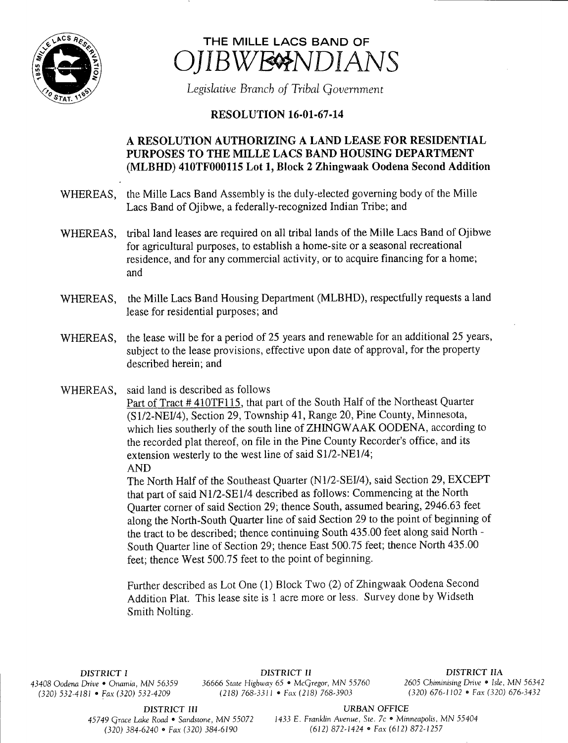



Legislative Branch of Tribal Government

## **RESOLUTION 16-01-67-14**

## A RESOLUTION AUTHORIZING A LAND LEASE FOR RESIDENTIAL PURPOSES TO THE MILLE LACS BAND HOUSING DEPARTMENT MLBHD) 410TF000115 Lot 1, Block 2 Zhingwaak Oodena Second Addition

- WHEREAS, the Mille Lacs Band Assembly is the duly-elected governing body of the Mille Lacs Band of Ojibwe, a federally-recognized Indian Tribe; and
- WHEREAS, tribal land leases are required on all tribal lands of the Mille Lacs Band of Ojibwe for agricultural purposes, to establish a home- site or a seasonal recreational residence, and for any commercial activity, or to acquire financing for <sup>a</sup> home; and
- WHEREAS, the Mile Lacs Band Housing Department (MLBHD), respectfully requests <sup>a</sup> land lease for residential purposes; and
- WHEREAS, the lease will be for <sup>a</sup> period of 25 years and renewable for an additional 25 years, subject to the lease provisions, effective upon date of approval, for the property described herein; and
- WHEREAS, said land is described as follows

Part of Tract #410TF115, that part of the South Half of the Northeast Quarter (S1/2-NEI/4), Section 29, Township 41, Range 20, Pine County, Minnesota, which lies southerly of the south line of ZHINGWAAK OODENA, according to the recorded plat thereof, on file in the Pine County Recorder's office, and its extension westerly to the west line of said  $S1/2-NE1/4$ ; AND

The North Half of the Southeast Quarter (N1/2-SEI/4), said Section 29, EXCEPT that part of said N1/2-SE1/4 described as follows: Commencing at the North Quarter corner of said Section 29; thence South, assumed bearing, 2946.63 feet along the North-South Quarter line of said Section 29 to the point of beginning of the tract to be described; thence continuing South 435.00 feet along said North - South Quarter line of Section 29; thence East 500.75 feet; thence North 435. 00 feet; thence West 500.75 feet to the point of beginning.

Further described as Lot One (1) Block Two (2) of Zhingwaak Oodena Second Addition Plat. This lease site is <sup>1</sup> acre more or less. Survey done by Widseth Smith Nolting.

DISTRICT I DISTRICT II DISTRICT II<br>Drive • Onamia. MN 56359 36666 State Highway 65 • McGregor, MN 55760 2605 Chiminising Drive • Isle, MN 56342 43408 Oodena Drive • Onamia, MN 56359 36666 State Highway 65 • McGregor, MN 55760 2605 Chiminising Drive • Isle, MN 5634.<br>(320) 576-3420 • Fax (320) 576-3432 (218) 768-3311 • Fax (218) 768-3903 (320) 676-1102 • Fax (320) 6  $(320) 532-4181$  • Fax (320) 532-4209 (218) 768-3311 • Fax (218) 768-3903

DISTRICT III URBAN OFFICE

45749 Grace Lake Road • Sandstone, MN 55072 1433 E. Franklin Avenue, Ste. 7c • Minneapolis, MN 55404 320) 384- 6240 • Fax( 320) 384- 6190 612) 872- 1424 • Fax( 612) 872- 1257